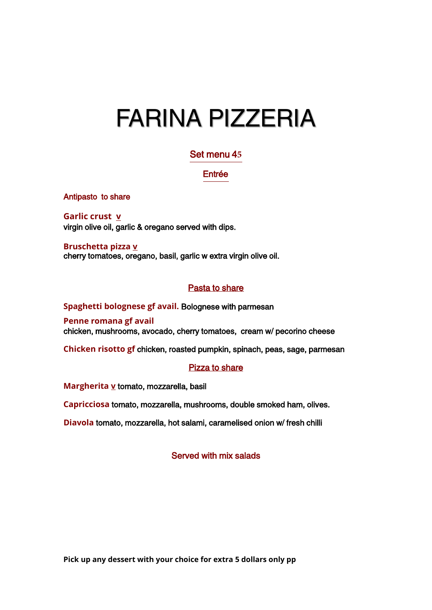# FARINA PIZZERIA

## Set menu 4**5**

## Entrée

Antipasto to share

**Garlic crust v**  virgin olive oil, garlic & oregano served with dips.

**Bruschetta pizza v**  cherry tomatoes, oregano, basil, garlic w extra virgin olive oil.

## Pasta to share

**Spaghetti bolognese gf avail.** Bolognese with parmesan **Penne romana gf avail** chicken, mushrooms, avocado, cherry tomatoes, cream w/ pecorino cheese

**Chicken risotto gf** chicken, roasted pumpkin, spinach, peas, sage, parmesan

## Pizza to share

**Margherita v** tomato, mozzarella, basil

**Capricciosa** tomato, mozzarella, mushrooms, double smoked ham, olives.

**Diavola** tomato, mozzarella, hot salami, caramelised onion w/ fresh chilli

## Served with mix salads

**Pick up any dessert with your choice for extra 5 dollars only pp**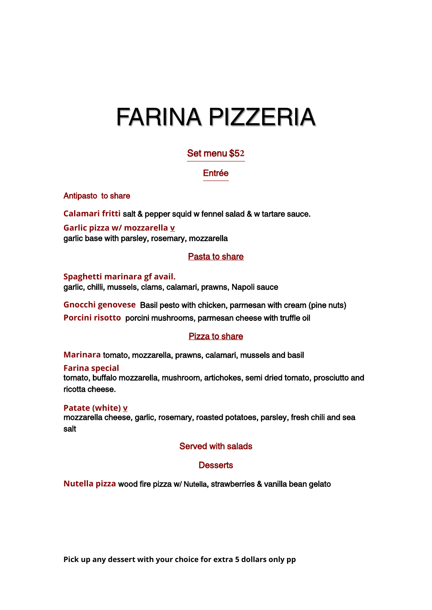# FARINA PIZZERIA

# Set menu \$5**2**

## Entrée

Antipasto to share

**Calamari fritti** salt & pepper squid w fennel salad & w tartare sauce.

**Garlic pizza w/ mozzarella v** garlic base with parsley, rosemary, mozzarella

## Pasta to share

**Spaghetti marinara gf avail.** garlic, chilli, mussels, clams, calamari, prawns, Napoli sauce

**Gnocchi genovese** Basil pesto with chicken, parmesan with cream (pine nuts) **Porcini risotto** porcini mushrooms, parmesan cheese with truffle oil

# Pizza to share

**Marinara** tomato, mozzarella, prawns, calamari, mussels and basil

**Farina special** tomato, buffalo mozzarella, mushroom, artichokes, semi dried tomato, prosciutto and ricotta cheese.

**Patate (white) v**  mozzarella cheese, garlic, rosemary, roasted potatoes, parsley, fresh chili and sea salt

## Served with salads

## **Desserts**

**Nutella pizza** wood fire pizza w/ Nutella, strawberries & vanilla bean gelato

**Pick up any dessert with your choice for extra 5 dollars only pp**